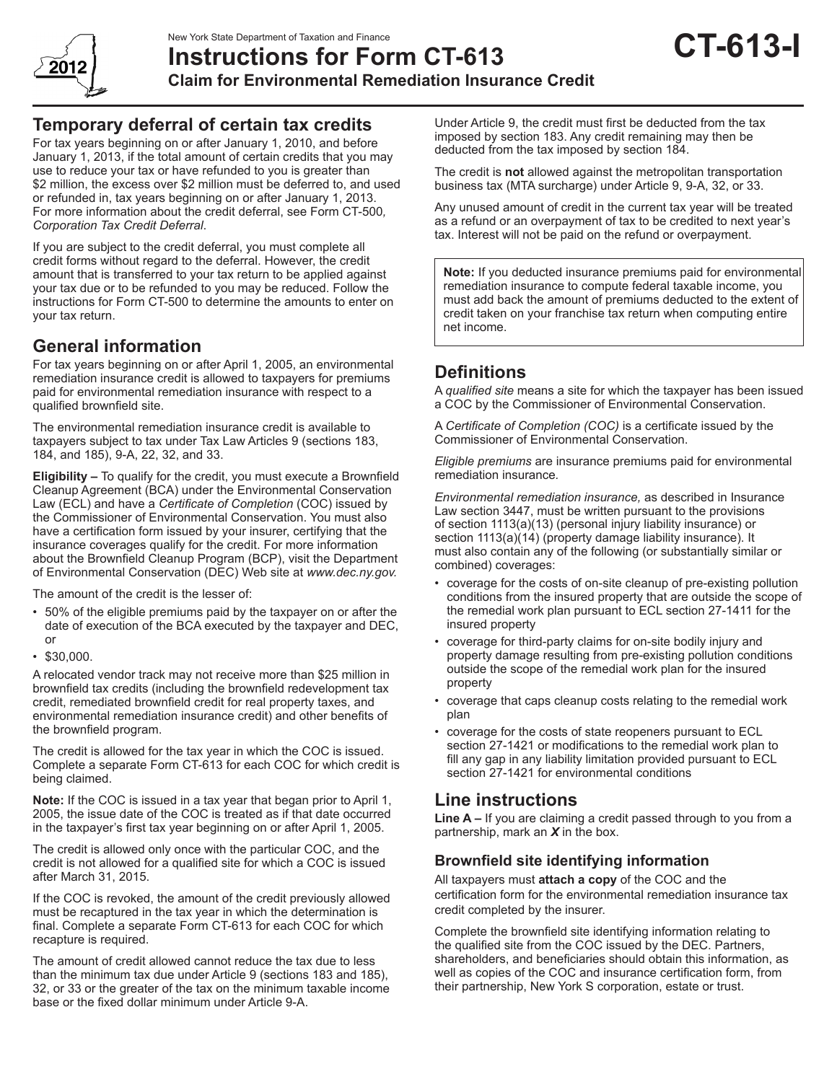

#### **Temporary deferral of certain tax credits**

For tax years beginning on or after January 1, 2010, and before January 1, 2013, if the total amount of certain credits that you may use to reduce your tax or have refunded to you is greater than \$2 million, the excess over \$2 million must be deferred to, and used or refunded in, tax years beginning on or after January 1, 2013. For more information about the credit deferral, see Form CT-500*, Corporation Tax Credit Deferral*.

If you are subject to the credit deferral, you must complete all credit forms without regard to the deferral. However, the credit amount that is transferred to your tax return to be applied against your tax due or to be refunded to you may be reduced. Follow the instructions for Form CT-500 to determine the amounts to enter on your tax return.

## **General information**

For tax years beginning on or after April 1, 2005, an environmental remediation insurance credit is allowed to taxpayers for premiums paid for environmental remediation insurance with respect to a qualified brownfield site.

The environmental remediation insurance credit is available to taxpayers subject to tax under Tax Law Articles 9 (sections 183, 184, and 185), 9-A, 22, 32, and 33.

**Eligibility –** To qualify for the credit, you must execute a Brownfield Cleanup Agreement (BCA) under the Environmental Conservation Law (ECL) and have a *Certificate of Completion* (COC) issued by the Commissioner of Environmental Conservation. You must also have a certification form issued by your insurer, certifying that the insurance coverages qualify for the credit. For more information about the Brownfield Cleanup Program (BCP), visit the Department of Environmental Conservation (DEC) Web site at *www.dec.ny.gov.*

The amount of the credit is the lesser of:

- 50% of the eligible premiums paid by the taxpayer on or after the date of execution of the BCA executed by the taxpayer and DEC, or
- \$30,000.

A relocated vendor track may not receive more than \$25 million in brownfield tax credits (including the brownfield redevelopment tax credit, remediated brownfield credit for real property taxes, and environmental remediation insurance credit) and other benefits of the brownfield program.

The credit is allowed for the tax year in which the COC is issued. Complete a separate Form CT-613 for each COC for which credit is being claimed.

**Note:** If the COC is issued in a tax year that began prior to April 1, 2005, the issue date of the COC is treated as if that date occurred in the taxpayer's first tax year beginning on or after April 1, 2005.

The credit is allowed only once with the particular COC, and the credit is not allowed for a qualified site for which a COC is issued after March 31, 2015.

If the COC is revoked, the amount of the credit previously allowed must be recaptured in the tax year in which the determination is final. Complete a separate Form CT-613 for each COC for which recapture is required.

The amount of credit allowed cannot reduce the tax due to less than the minimum tax due under Article 9 (sections 183 and 185), 32, or 33 or the greater of the tax on the minimum taxable income base or the fixed dollar minimum under Article 9-A.

Under Article 9, the credit must first be deducted from the tax imposed by section 183. Any credit remaining may then be deducted from the tax imposed by section 184.

The credit is **not** allowed against the metropolitan transportation business tax (MTA surcharge) under Article 9, 9-A, 32, or 33.

Any unused amount of credit in the current tax year will be treated as a refund or an overpayment of tax to be credited to next year's tax. Interest will not be paid on the refund or overpayment.

**Note:** If you deducted insurance premiums paid for environmental remediation insurance to compute federal taxable income, you must add back the amount of premiums deducted to the extent of credit taken on your franchise tax return when computing entire net income.

# **Definitions**

A *qualified site* means a site for which the taxpayer has been issued a COC by the Commissioner of Environmental Conservation.

A *Certificate of Completion (COC)* is a certificate issued by the Commissioner of Environmental Conservation.

*Eligible premiums* are insurance premiums paid for environmental remediation insurance*.*

*Environmental remediation insurance,* as described in Insurance Law section 3447, must be written pursuant to the provisions of section 1113(a)(13) (personal injury liability insurance) or section 1113(a)(14) (property damage liability insurance). It must also contain any of the following (or substantially similar or combined) coverages:

- coverage for the costs of on-site cleanup of pre-existing pollution conditions from the insured property that are outside the scope of the remedial work plan pursuant to ECL section 27-1411 for the insured property
- coverage for third-party claims for on-site bodily injury and property damage resulting from pre-existing pollution conditions outside the scope of the remedial work plan for the insured property
- coverage that caps cleanup costs relating to the remedial work plan
- coverage for the costs of state reopeners pursuant to ECL section 27-1421 or modifications to the remedial work plan to fill any gap in any liability limitation provided pursuant to ECL section 27-1421 for environmental conditions

## **Line instructions**

**Line A –** If you are claiming a credit passed through to you from a partnership, mark an *X* in the box.

#### **Brownfield site identifying information**

All taxpayers must **attach a copy** of the COC and the certification form for the environmental remediation insurance tax credit completed by the insurer.

Complete the brownfield site identifying information relating to the qualified site from the COC issued by the DEC. Partners, shareholders, and beneficiaries should obtain this information, as well as copies of the COC and insurance certification form, from their partnership, New York S corporation, estate or trust.